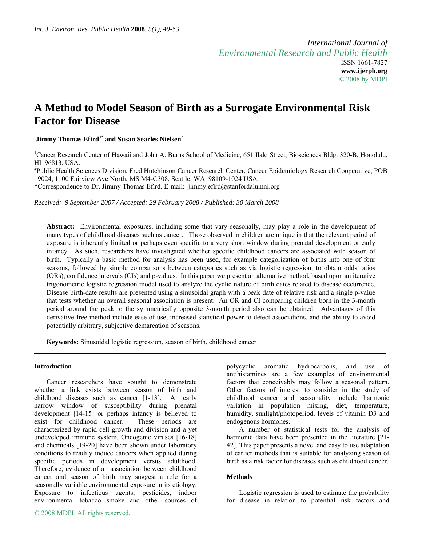# **A Method to Model Season of Birth as a Surrogate Environmental Risk Factor for Disease**

 **Jimmy Thomas Efird1\* and Susan Searles Nielsen2** 

<sup>1</sup>Cancer Research Center of Hawaii and John A. Burns School of Medicine, 651 Ilalo Street, Biosciences Bldg. 320-B, Honolulu, HI 96813, USA.

<sup>2</sup>Public Health Sciences Division, Fred Hutchinson Cancer Research Center, Cancer Epidemiology Research Cooperative, POB 19024, 1100 Fairview Ave North, MS M4-C308, Seattle, WA 98109-1024 USA. \*Correspondence to Dr. Jimmy Thomas Efird. E-mail: jimmy.efird@stanfordalumni.org

*Received: 9 September 2007 / Accepted: 29 February 2008 / Published: 30 March 2008* 

**Abstract:** Environmental exposures, including some that vary seasonally, may play a role in the development of many types of childhood diseases such as cancer. Those observed in children are unique in that the relevant period of exposure is inherently limited or perhaps even specific to a very short window during prenatal development or early infancy. As such, researchers have investigated whether specific childhood cancers are associated with season of birth. Typically a basic method for analysis has been used, for example categorization of births into one of four seasons, followed by simple comparisons between categories such as via logistic regression, to obtain odds ratios (ORs), confidence intervals (CIs) and p-values. In this paper we present an alternative method, based upon an iterative trigonometric logistic regression model used to analyze the cyclic nature of birth dates related to disease occurrence. Disease birth-date results are presented using a sinusoidal graph with a peak date of relative risk and a single p-value that tests whether an overall seasonal association is present. An OR and CI comparing children born in the 3-month period around the peak to the symmetrically opposite 3-month period also can be obtained. Advantages of this derivative-free method include ease of use, increased statistical power to detect associations, and the ability to avoid potentially arbitrary, subjective demarcation of seasons.

**Keywords:** Sinusoidal logistic regression, season of birth, childhood cancer

## **Introduction**

Cancer researchers have sought to demonstrate whether a link exists between season of birth and childhood diseases such as cancer [1-13]. An early narrow window of susceptibility during prenatal development [14-15] or perhaps infancy is believed to exist for childhood cancer. These periods are characterized by rapid cell growth and division and a yet undeveloped immune system. Oncogenic viruses [16-18] and chemicals [19-20] have been shown under laboratory conditions to readily induce cancers when applied during specific periods in development versus adulthood. Therefore, evidence of an association between childhood cancer and season of birth may suggest a role for a seasonally variable environmental exposure in its etiology. Exposure to infectious agents, pesticides, indoor environmental tobacco smoke and other sources of polycyclic aromatic hydrocarbons, and use of antihistamines are a few examples of environmental factors that conceivably may follow a seasonal pattern. Other factors of interest to consider in the study of childhood cancer and seasonality include harmonic variation in population mixing, diet, temperature, humidity, sunlight/photoperiod, levels of vitamin D3 and endogenous hormones.

A number of statistical tests for the analysis of harmonic data have been presented in the literature [21- 42]. This paper presents a novel and easy to use adaptation of earlier methods that is suitable for analyzing season of birth as a risk factor for diseases such as childhood cancer.

### **Methods**

Logistic regression is used to estimate the probability for disease in relation to potential risk factors and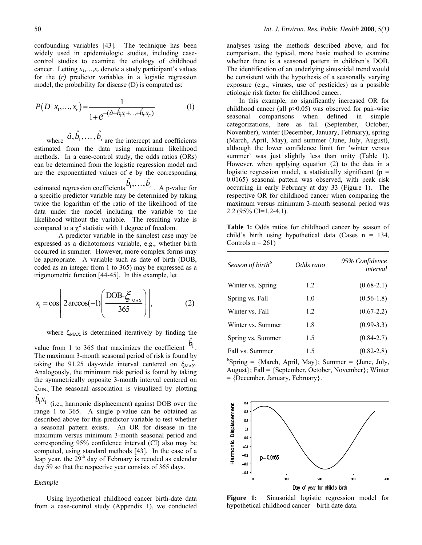confounding variables [43]. The technique has been widely used in epidemiologic studies, including casecontrol studies to examine the etiology of childhood cancer. Letting  $x_1, \ldots, x_r$  denote a study participant's values for the (*r)* predictor variables in a logistic regression model, the probability for disease (D) is computed as:

$$
P(D | x_1,...,x_r) = \frac{1}{1 + e^{-(\hat{a} + \hat{b}_1 x_1 + ... + \hat{b}_r x_r)}}
$$
(1)

where  $\hat{a}, \hat{b}_1, \dots, \hat{b}_r$  are the intercept and coefficients estimated from the data using maximum likelihood methods. In a case-control study, the odds ratios (ORs) can be determined from the logistic regression model and are the exponentiated values of *e* by the corresponding estimated regression coefficients  $\hat{b}_1, \dots, \hat{b}_r$ . A p-value for a specific predictor variable may be determined by taking twice the logarithm of the ratio of the likelihood of the data under the model including the variable to the likelihood without the variable. The resulting value is compared to a  $\chi^2$  statistic with 1 degree of freedom.

 A predictor variable in the simplest case may be expressed as a dichotomous variable, e.g., whether birth occurred in summer. However, more complex forms may be appropriate. A variable such as date of birth (DOB, coded as an integer from 1 to 365) may be expressed as a trigonometric function [44-45]. In this example, let

$$
x_1 = \cos\left[2\arccos(-1)\left(\frac{\text{DOB-}\xi_{\text{MAX}}}{365}\right)\right],\tag{2}
$$

where  $\xi_{MAX}$  is determined iteratively by finding the  $\hat{b}_{\!\scriptscriptstyle 1}^{}$  .

value from 1 to 365 that maximizes the coefficient  $v_1$ The maximum 3-month seasonal period of risk is found by taking the 91.25 day-wide interval centered on  $\zeta_{MAX}$ . Analogously, the minimum risk period is found by taking the symmetrically opposite 3-month interval centered on ξMIN. The seasonal association is visualized by plotting  $\hat{b}_1 x_1$ 

*b x* (i.e., harmonic displacement) against DOB over the range 1 to 365. A single p-value can be obtained as described above for this predictor variable to test whether a seasonal pattern exists. An OR for disease in the maximum versus minimum 3-month seasonal period and corresponding 95% confidence interval (CI) also may be computed, using standard methods [43]. In the case of a leap year, the  $29<sup>th</sup>$  day of February is recoded as calendar day 59 so that the respective year consists of 365 days.

#### *Example*

Using hypothetical childhood cancer birth-date data from a case-control study (Appendix 1), we conducted

analyses using the methods described above, and for comparison, the typical, more basic method to examine whether there is a seasonal pattern in children's DOB. The identification of an underlying sinusoidal trend would be consistent with the hypothesis of a seasonally varying exposure (e.g., viruses, use of pesticides) as a possible etiologic risk factor for childhood cancer.

In this example, no significantly increased OR for childhood cancer (all  $p>0.05$ ) was observed for pair-wise seasonal comparisons when defined in simple categorizations, here as fall (September, October, November), winter (December, January, February), spring (March, April, May), and summer (June, July, August), although the lower confidence limit for 'winter versus summer' was just slightly less than unity (Table 1). However, when applying equation (2) to the data in a logistic regression model, a statistically significant ( $p =$ 0.0165) seasonal pattern was observed, with peak risk occurring in early February at day 33 (Figure 1). The respective OR for childhood cancer when comparing the maximum versus minimum 3-month seasonal period was 2.2 (95% CI=1.2-4.1).

Table 1: Odds ratios for childhood cancer by season of child's birth using hypothetical data (Cases  $n = 134$ , Controls  $n = 261$ )

| Season of birth <sup>b</sup> | Odds ratio | 95% Confidence<br>interval |
|------------------------------|------------|----------------------------|
| Winter vs. Spring            | 1.2        | $(0.68-2.1)$               |
| Spring vs. Fall              | 1.0        | $(0.56-1.8)$               |
| Winter vs. Fall              | 1.2        | $(0.67 - 2.2)$             |
| Winter vs. Summer            | 1.8        | $(0.99-3.3)$               |
| Spring vs. Summer            | 1.5        | $(0.84 - 2.7)$             |
| Fall vs. Summer<br>ъ., .     | 1.5        | $(0.82 - 2.8)$             |

 $\text{PSpring} = \{ \text{March}, \text{ April}, \text{May} \}$ ; Summer =  $\{ \text{June}, \text{ July}, \}$ August}; Fall = {September, October, November}; Winter  $=$  {December, January, February}.



**Figure 1:** Sinusoidal logistic regression model for hypothetical childhood cancer – birth date data.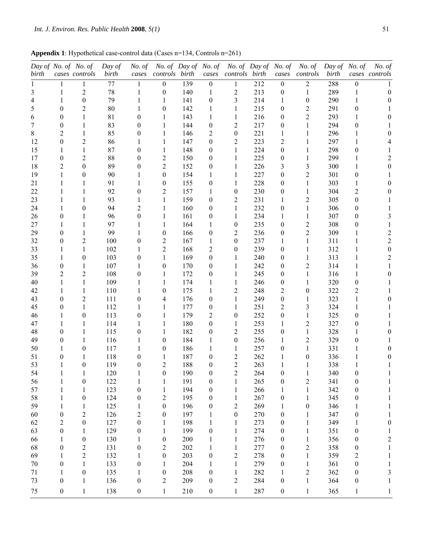**Appendix 1**: Hypothetical case-control data (Cases n=134, Controls n=261)

|       |                  | Day of No. of No. of | Day of | No. of           | No. of Day of No. of |     |                  | No. of Day of No. of    |     |                  | No. of           | Day of No. of |                  | No. of                  |
|-------|------------------|----------------------|--------|------------------|----------------------|-----|------------------|-------------------------|-----|------------------|------------------|---------------|------------------|-------------------------|
| birth |                  | cases controls       | birth  | cases            | controls birth       |     | cases            | controls birth          |     | cases            | controls         | birth         |                  | cases controls          |
|       |                  | 1                    | 77     | 1                | $\boldsymbol{0}$     | 139 | $\boldsymbol{0}$ | 1                       | 212 | $\boldsymbol{0}$ | $\overline{2}$   | 288           | $\boldsymbol{0}$ |                         |
| 3     | 1                | $\overline{2}$       | 78     | 1                | $\theta$             | 140 | 1                | $\overline{2}$          | 213 | $\boldsymbol{0}$ | 1                | 289           | 1                | 0                       |
| 4     |                  | $\overline{0}$       | 79     |                  | 1                    | 141 | $\boldsymbol{0}$ | 3                       | 214 | 1                | $\theta$         | 290           | 1                |                         |
| 5     | 0                | 2                    | 80     |                  | $\theta$             | 142 | 1                | 1                       | 215 | $\boldsymbol{0}$ | $\overline{2}$   | 291           | 0                |                         |
| 6     | 0                | 1                    | 81     | 0                | 1                    | 143 | 1                | 1                       | 216 | 0                | $\overline{2}$   | 293           | 1                |                         |
|       | 0                | 1                    | 83     | 0                | 1                    | 144 | $\theta$         | 2                       | 217 | 0                | 1                | 294           | 0                |                         |
| 8     | 2                | 1                    | 85     | 0                | 1                    | 146 | 2                | $\boldsymbol{0}$        | 221 | 1                | 1                | 296           | 1                |                         |
| 12    | $\theta$         | $\overline{c}$       | 86     |                  | 1                    | 147 | $\theta$         | 2                       | 223 | $\overline{c}$   | 1                | 297           | 1                |                         |
| 15    |                  | 1                    | 87     | 0                | 1                    | 148 | $\theta$         | 1                       | 224 | 0                | 1                | 298           | 0                |                         |
| 17    | 0                | 2                    | 88     | 0                | $\overline{2}$       | 150 | $\theta$         | 1                       | 225 | 0                | 1                | 299           | 1                |                         |
| 18    | 2                | $\theta$             | 89     | 0                | $\overline{2}$       | 152 | $\boldsymbol{0}$ | 1                       | 226 | 3                | 3                | 300           | 1                |                         |
| 19    |                  | $\theta$             | 90     |                  | $\theta$             | 154 | 1                | 1                       | 227 | 0                | $\overline{2}$   | 301           | 0                |                         |
| 21    |                  | 1                    | 91     |                  | $\theta$             | 155 | $\boldsymbol{0}$ | 1                       | 228 | 0                | 1                | 303           | 1                |                         |
| 22    |                  | 1                    | 92     | 0                | 2                    | 157 | 1                | $\theta$                | 230 | 0                | 1                | 304           | 2                |                         |
| 23    |                  | 1                    | 93     |                  | 1                    | 159 | $\theta$         | $\overline{c}$          | 231 | 1                | $\overline{2}$   | 305           | 0                |                         |
| 24    |                  | $\overline{0}$       | 94     | 2                | 1                    | 160 | $\theta$         | 1                       | 232 | $\boldsymbol{0}$ | 1                | 306           | $\boldsymbol{0}$ |                         |
| 26    | 0                | 1                    | 96     | 0                | 1                    | 161 | $\boldsymbol{0}$ | 1                       | 234 | 1                | 1                | 307           | $\boldsymbol{0}$ |                         |
| 27    |                  | 1                    | 97     |                  | 1                    | 164 | 1                | $\boldsymbol{0}$        | 235 | 0                | $\overline{2}$   | 308           | 0                |                         |
| 29    | $\theta$         | 1                    | 99     |                  | $\theta$             | 166 | $\boldsymbol{0}$ | 2                       | 236 | 0                | $\overline{2}$   | 309           | 1                | 2                       |
| 32    | 0                | $\overline{2}$       | 100    | 0                | $\overline{2}$       | 167 | 1                | $\theta$                | 237 | 1                | 1                | 311           | 1                | $\overline{c}$          |
| 33    |                  | 1                    | 102    |                  | $\overline{2}$       | 168 | 2                | $\theta$                | 239 | $\boldsymbol{0}$ | 1                | 312           | 1                | $\theta$                |
| 35    |                  | $\theta$             | 103    | 0                | 1                    | 169 | $\theta$         | 1                       | 240 | 0                | 1                | 313           | 1                | 2                       |
| 36    | 0                | 1                    | 107    |                  | $\theta$             | 170 | $\theta$         | 1                       | 242 | $\boldsymbol{0}$ | $\overline{2}$   | 314           | 1                |                         |
| 39    | 2                | $\overline{2}$       | 108    | 0                | 1                    | 172 | $\theta$         | 1                       | 245 | 0                | 1                | 316           | 1                |                         |
| 40    |                  | 1                    | 109    |                  | 1                    | 174 | 1                | 1                       | 246 | $\boldsymbol{0}$ | 1                | 320           | 0                |                         |
| 42    |                  | 1                    | 110    |                  | $\theta$             | 175 | 1                | $\overline{c}$          | 248 | $\overline{c}$   | $\theta$         | 322           | $\overline{c}$   |                         |
| 43    | 0                | $\overline{2}$       | 111    | 0                | 4                    | 176 | $\theta$         | 1                       | 249 | 0                | 1                | 323           | 1                |                         |
| 45    | 0                | 1                    | 112    |                  | 1                    | 177 | $\boldsymbol{0}$ | 1                       | 251 | $\overline{c}$   | 3                | 324           | 1                |                         |
| 46    |                  | $\boldsymbol{0}$     | 113    | 0                | 1                    | 179 | 2                | $\boldsymbol{0}$        | 252 | 0                | 1                | 325           | 0                |                         |
| 47    |                  | 1                    | 114    |                  | 1                    | 180 | $\theta$         | 1                       | 253 | 1                | $\overline{2}$   | 327           | $\boldsymbol{0}$ |                         |
| 48    | 0                | 1                    | 115    | 0                | 1                    | 182 | $\boldsymbol{0}$ | $\overline{c}$          | 255 | 0                | 1                | 328           | 1                |                         |
| 49    | 0                | 1                    | 116    |                  | $\theta$             | 184 | 1                | $\boldsymbol{0}$        | 256 | 1                | $\overline{2}$   | 329           | 0                |                         |
| 50    |                  | 0                    | 117    |                  | $\theta$             | 186 | 1                | 1                       | 257 | 0                | 1                | 331           | 1                |                         |
| 51    | 0                | 1                    | 118    | 0                | 1                    | 187 | $\boldsymbol{0}$ | $\overline{c}$          | 262 | 1                | $\boldsymbol{0}$ | 336           | 1                |                         |
| 53    | 1                | $\theta$             | 119    | $\boldsymbol{0}$ | $\overline{2}$       | 188 | $\theta$         | $\overline{2}$          | 263 | 1                | 1                | 338           | $\mathbf{1}$     |                         |
| 54    | 1                | 1                    | 120    | 1                | $\boldsymbol{0}$     | 190 | $\boldsymbol{0}$ | $\overline{\mathbf{c}}$ | 264 | 0                | $\mathbf{1}$     | 340           | $\boldsymbol{0}$ | 1                       |
| 56    | 1                | $\boldsymbol{0}$     | 122    | 1                | 1                    | 191 | $\boldsymbol{0}$ | 1                       | 265 | $\boldsymbol{0}$ | $\sqrt{2}$       | 341           | $\boldsymbol{0}$ | 1                       |
| 57    | 1                | 1                    | 123    | $\boldsymbol{0}$ | 1                    | 194 | $\boldsymbol{0}$ | $\mathbf{1}$            | 266 | 1                | $\mathbf{1}$     | 342           | $\boldsymbol{0}$ | 1                       |
| 58    | 1                | $\boldsymbol{0}$     | 124    | 0                | $\overline{c}$       | 195 | $\boldsymbol{0}$ | 1                       | 267 | $\boldsymbol{0}$ | $\mathbf{1}$     | 345           | $\boldsymbol{0}$ | 1                       |
| 59    | 1                | 1                    | 125    | 1                | $\boldsymbol{0}$     | 196 | $\boldsymbol{0}$ | $\overline{c}$          | 269 | 1                | $\boldsymbol{0}$ | 346           | $\mathbf{1}$     | 1                       |
| 60    | $\boldsymbol{0}$ | 2                    | 126    | $\overline{c}$   | $\boldsymbol{0}$     | 197 | 1                | $\boldsymbol{0}$        | 270 | $\boldsymbol{0}$ | 1                | 347           | $\boldsymbol{0}$ | 1                       |
| 62    | $\overline{2}$   | $\boldsymbol{0}$     | 127    | $\boldsymbol{0}$ | 1                    | 198 | 1                | 1                       | 273 | $\boldsymbol{0}$ | $\mathbf{1}$     | 349           | 1                | 0                       |
| 63    | $\boldsymbol{0}$ | 1                    | 129    | 0                | 1                    | 199 | $\boldsymbol{0}$ | $\mathbf{1}$            | 274 | $\boldsymbol{0}$ | $\mathbf{1}$     | 351           | $\boldsymbol{0}$ | 1                       |
| 66    | 1                | $\boldsymbol{0}$     | 130    | 1                | $\boldsymbol{0}$     | 200 | 1                | $\mathbf{1}$            | 276 | $\boldsymbol{0}$ | $\mathbf{1}$     | 356           | $\boldsymbol{0}$ | $\overline{\mathbf{c}}$ |
| 68    | $\boldsymbol{0}$ | $\boldsymbol{2}$     | 131    | $\boldsymbol{0}$ | $\sqrt{2}$           | 202 | 1                | 1                       | 277 | $\boldsymbol{0}$ | $\sqrt{2}$       | 358           | $\boldsymbol{0}$ | 1                       |
| 69    | 1                | $\overline{2}$       | 132    | 1                | $\boldsymbol{0}$     | 203 | $\boldsymbol{0}$ | $\overline{c}$          | 278 | $\boldsymbol{0}$ | $\mathbf{1}$     | 359           | $\overline{c}$   | 1                       |
| 70    | $\boldsymbol{0}$ | 1                    | 133    | $\boldsymbol{0}$ | 1                    | 204 | 1                | $\mathbf{1}$            | 279 | $\boldsymbol{0}$ | $\mathbf{1}$     | 361           | $\boldsymbol{0}$ | 1                       |
| 71    | 1                | $\boldsymbol{0}$     | 135    | 1                | $\boldsymbol{0}$     | 208 | $\boldsymbol{0}$ | $\mathbf{1}$            | 282 | 1                | $\boldsymbol{2}$ | 362           | $\boldsymbol{0}$ | 3                       |
| 73    | $\boldsymbol{0}$ | $\mathbf{1}$         | 136    | $\boldsymbol{0}$ | $\overline{c}$       | 209 | $\boldsymbol{0}$ | $\overline{c}$          | 284 | $\boldsymbol{0}$ | $\mathbf{1}$     | 364           | $\boldsymbol{0}$ | 1                       |
| 75    | $\boldsymbol{0}$ | $\mathbf{1}$         | 138    | $\boldsymbol{0}$ | $\mathbf{1}$         | 210 | $\boldsymbol{0}$ | $\,1\,$                 | 287 | $\boldsymbol{0}$ | $\mathbf{1}$     | 365           | $\mathbf{1}$     | 1                       |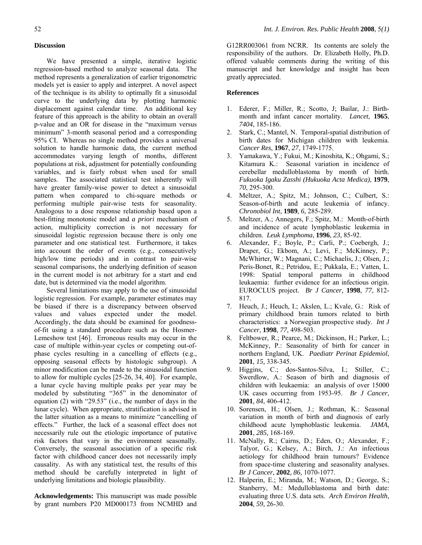We have presented a simple, iterative logistic regression-based method to analyze seasonal data. The method represents a generalization of earlier trigonometric models yet is easier to apply and interpret. A novel aspect of the technique is its ability to optimally fit a sinusoidal curve to the underlying data by plotting harmonic displacement against calendar time. An additional key feature of this approach is the ability to obtain an overall p-value and an OR for disease in the "maximum versus minimum" 3-month seasonal period and a corresponding 95% CI. Whereas no single method provides a universal solution to handle harmonic data, the current method accommodates varying length of months, different populations at risk, adjustment for potentially confounding variables, and is fairly robust when used for small samples. The associated statistical test inherently will have greater family-wise power to detect a sinusoidal pattern when compared to chi-square methods or performing multiple pair-wise tests for seasonality. Analogous to a dose response relationship based upon a best-fitting monotonic model and *a priori* mechanism of action, multiplicity correction is not necessary for sinusoidal logistic regression because there is only one parameter and one statistical test. Furthermore, it takes into account the order of events (e.g., consecutively high/low time periods) and in contrast to pair-wise seasonal comparisons, the underlying definition of season in the current model is not arbitrary for a start and end date, but is determined via the model algorithm.

Several limitations may apply to the use of sinusoidal logistic regression. For example, parameter estimates may be biased if there is a discrepancy between observed values and values expected under the model. Accordingly, the data should be examined for goodnessof-fit using a standard procedure such as the Hosmer-Lemeshow test [46]. Erroneous results may occur in the case of multiple within-year cycles or competing out-ofphase cycles resulting in a cancelling of effects (e.g., opposing seasonal effects by histologic subgroup). A minor modification can be made to the sinusoidal function to allow for multiple cycles [25-26, 34, 40]. For example, a lunar cycle having multiple peaks per year may be modeled by substituting "365" in the denominator of equation (2) with "29.53" (i.e., the number of days in the lunar cycle). When appropriate, stratification is advised in the latter situation as a means to minimize "cancelling of effects." Further, the lack of a seasonal effect does not necessarily rule out the etiologic importance of putative risk factors that vary in the environment seasonally. Conversely, the seasonal association of a specific risk factor with childhood cancer does not necessarily imply causality. As with any statistical test, the results of this method should be carefully interpreted in light of underlying limitations and biologic plausibility.

**Acknowledgements:** This manuscript was made possible by grant numbers P20 MD000173 from NCMHD and G12RR003061 from NCRR. Its contents are solely the responsibility of the authors. Dr. Elizabeth Holly, Ph.D. offered valuable comments during the writing of this manuscript and her knowledge and insight has been greatly appreciated.

# **References**

- 1. Ederer, F.; Miller, R.; Scotto, J; Bailar, J.: Birthmonth and infant cancer mortality. *Lancet*, **1965**, *7404*, 185-186.
- 2. Stark, C.; Mantel, N. Temporal-spatial distribution of birth dates for Michigan children with leukemia. *Cancer Res*, **1967**, *27*, 1749-1775.
- 3. Yamakawa, Y.; Fukui, M.; Kinoshita, K.; Ohgami, S.; Kitamura K.: Seasonal variation in incidence of cerebellar medulloblastoma by month of birth. *Fukuoka Igaku Zasshi (Hukuoka Acta Medica)*, **1979**, *70*, 295-300.
- 4. Meltzer, A.; Spitz, M.; Johnson, C.; Culbert, S.: Season-of-birth and acute leukemia of infancy. *Chronobiol Int*, **1989***, 6,* 285-289.
- 5. Meltzer, A.; Annegers, F.; Spitz, M.: Month-of-birth and incidence of acute lymphoblastic leukemia in children. *Leuk Lymphoma*, **1996***, 23,* 85-92.
- 6. Alexander, F.; Boyle, P.; Carli, P.; Coebergh, J.; Draper, G.; Ekbom, A.; Levi, F.; McKinney, P.; McWhirter, W.; Magnani, C.; Michaelis, J.; Olsen, J.; Peris-Bonet, R.; Petridou, E.; Pukkala, E.; Vatten, L. 1998: Spatial temporal patterns in childhood leukaemia: further evidence for an infectious origin. EUROCLUS project. *Br J Cancer,* **1998**, *77,* 812- 817.
- 7. Heuch, J.; Heuch, I.; Akslen, L.; Kvale, G.: Risk of primary childhood brain tumors related to birth characteristics: a Norwegian prospective study. *Int J Cancer*, **1998***, 77,* 498-503.
- 8. Feltbower, R.; Pearce, M.; Dickinson, H.; Parker, L.; McKinney, P.: Seasonality of birth for cancer in northern England, UK. *Paediatr Perinat Epidemiol*, **2001***, 15,* 338-345.
- 9. Higgins, C.; dos-Santos-Silva, I.; Stiller, C.; Swerdlow, A.: Season of birth and diagnosis of children with leukaemia: an analysis of over 15000 UK cases occurring from 1953-95. *Br J Cancer*, **2001***, 84*, 406-412.
- 10. Sorensen, H.; Olsen, J.; Rothman, K.: Seasonal variation in month of birth and diagnosis of early childhood acute lymphoblastic leukemia. *JAMA*, **2001**, *285,* 168-169.
- 11. McNally, R.; Cairns, D.; Eden, O.; Alexander, F.; Talyor, G.; Kelsey, A.; Birch, J.: An infectious aetiology for childhood brain tumours? Evidence from space-time clustering and seasonality analyses. *Br J Cancer*, **2002***, 86,* 1070-1077.
- 12. Halperin, E.; Miranda, M.; Watson, D.; George, S.; Stanberry, M.: Medulloblastoma and birth date: evaluating three U.S. data sets. *Arch Environ Health*, **2004***, 59,* 26-30.